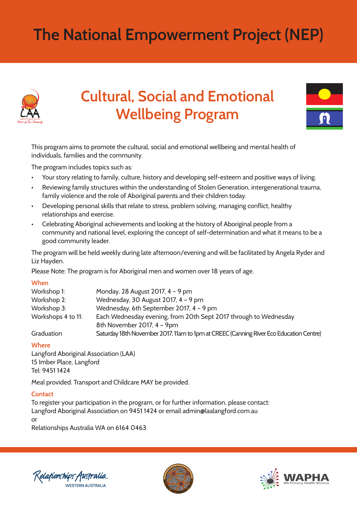# **The National Empowerment Project (NEP)**



# **Cultural, Social and Emotional Wellbeing Program**



This program aims to promote the cultural, social and emotional wellbeing and mental health of individuals, families and the community.

The program includes topics such as:

- Your story relating to family, culture, history and developing self-esteem and positive ways of living.
- Reviewing family structures within the understanding of Stolen Generation, intergenerational trauma, family violence and the role of Aboriginal parents and their children today.
- Developing personal skills that relate to stress, problem solving, managing conflict, healthy relationships and exercise.
- Celebrating Aboriginal achievements and looking at the history of Aboriginal people from a community and national level, exploring the concept of self-determination and what it means to be a good community leader.

The program will be held weekly during late afternoon/evening and will be facilitated by Angela Ryder and Liz Hayden.

Please Note: The program is for Aboriginal men and women over 18 years of age.

#### **When**

| Workshop 1:        | Monday, 28 August 2017, 4 - 9 pm                                                       |
|--------------------|----------------------------------------------------------------------------------------|
| Workshop 2:        | Wednesday, 30 August 2017, 4 - 9 pm                                                    |
| Workshop 3:        | Wednesday, 6th September 2017, 4 - 9 pm                                                |
| Workshops 4 to 11: | Each Wednesday evening, from 20th Sept 2017 through to Wednesday                       |
|                    | 8th November 2017, 4 - 9pm                                                             |
| Graduation         | Saturday 18th November 2017, 11am to 1pm at CREEC (Canning River Eco Education Centre) |

#### **Where**

Langford Aboriginal Association (LAA) 15 Imber Place, Langford Tel: 9451 1424

Meal provided. Transport and Childcare MAY be provided.

## **Contact**

To register your participation in the program, or for further information, please contact: Langford Aboriginal Association on 9451 1424 or email admin@laalangford.com.au or

Relationships Australia WA on 6164 0463.

'elafionships Australia **WESTERN AUSTRALIA**